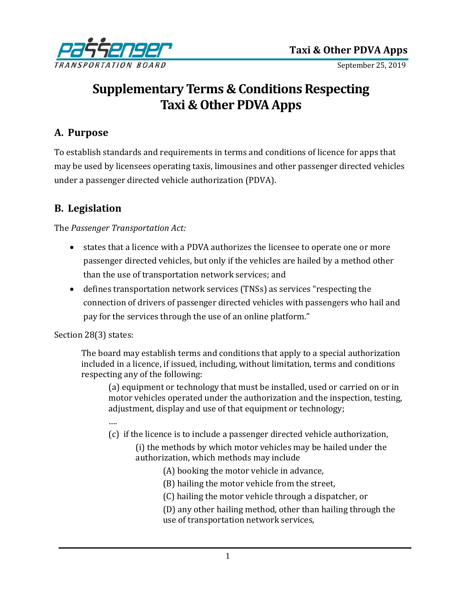

September 25, 2019

# **Supplementary Terms & Conditions Respecting Taxi & Other PDVA Apps**

#### **A. Purpose**

To establish standards and requirements in terms and conditions of licence for apps that may be used by licensees operating taxis, limousines and other passenger directed vehicles under a passenger directed vehicle authorization (PDVA).

#### **B. Legislation**

The *Passenger Transportation Act:*

- states that a licence with a PDVA authorizes the licensee to operate one or more passenger directed vehicles, but only if the vehicles are hailed by a method other than the use of transportation network services; and
- defines transportation network services (TNSs) as services "respecting the connection of drivers of passenger directed vehicles with passengers who hail and pay for the services through the use of an online platform."

Section 28(3) states:

The board may establish terms and conditions that apply to a special authorization included in a licence, if issued, including, without limitation, terms and conditions respecting any of the following:

(a) equipment or technology that must be installed, used or carried on or in motor vehicles operated under the authorization and the inspection, testing, adjustment, display and use of that equipment or technology;

- ….
- (c) if the licence is to include a passenger directed vehicle authorization,
	- (i) the methods by which motor vehicles may be hailed under the authorization, which methods may include
		- (A) booking the motor vehicle in advance,
		- (B) hailing the motor vehicle from the street,
		- (C) hailing the motor vehicle through a dispatcher, or
		- (D) any other hailing method, other than hailing through the use of transportation network services,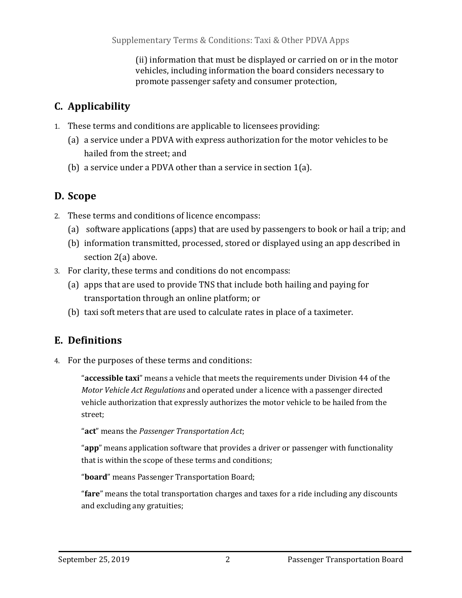(ii) information that must be displayed or carried on or in the motor vehicles, including information the board considers necessary to promote passenger safety and consumer protection,

## **C. Applicability**

- 1. These terms and conditions are applicable to licensees providing:
	- (a) a service under a PDVA with express authorization for the motor vehicles to be hailed from the street; and
	- (b) a service under a PDVA other than a service in section 1(a).

## **D. Scope**

- 2. These terms and conditions of licence encompass:
	- (a) software applications (apps) that are used by passengers to book or hail a trip; and
	- (b) information transmitted, processed, stored or displayed using an app described in section 2(a) above.
- 3. For clarity, these terms and conditions do not encompass:
	- (a) apps that are used to provide TNS that include both hailing and paying for transportation through an online platform; or
	- (b) taxi soft meters that are used to calculate rates in place of a taximeter.

## **E. Definitions**

4. For the purposes of these terms and conditions:

"**accessible taxi**" means a vehicle that meets the requirements under Division 44 of the *Motor Vehicle Act Regulations* and operated under a licence with a passenger directed vehicle authorization that expressly authorizes the motor vehicle to be hailed from the street;

"**act**" means the *Passenger Transportation Act*;

"**app**" means application software that provides a driver or passenger with functionality that is within the scope of these terms and conditions;

"**board**" means Passenger Transportation Board;

"**fare**" means the total transportation charges and taxes for a ride including any discounts and excluding any gratuities;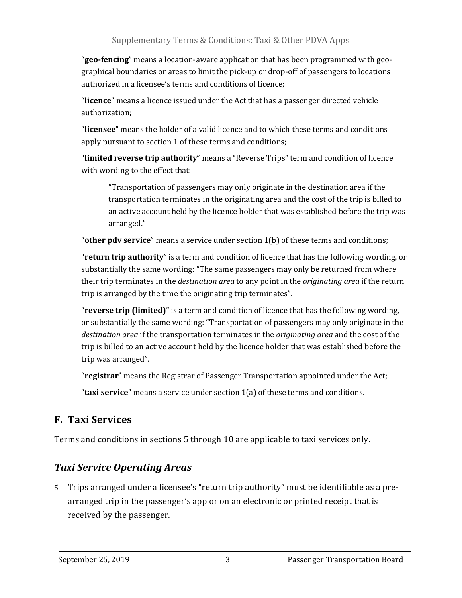"**geo-fencing**" means a location-aware application that has been programmed with geographical boundaries or areas to limit the pick-up or drop-off of passengers to locations authorized in a licensee's terms and conditions of licence;

"**licence**" means a licence issued under the Act that has a passenger directed vehicle authorization;

"**licensee**" means the holder of a valid licence and to which these terms and conditions apply pursuant to section 1 of these terms and conditions;

"**limited reverse trip authority**" means a "Reverse Trips" term and condition of licence with wording to the effect that:

"Transportation of passengers may only originate in the destination area if the transportation terminates in the originating area and the cost of the trip is billed to an active account held by the licence holder that was established before the trip was arranged."

"**other pdv service**" means a service under section 1(b) of these terms and conditions;

"**return trip authority**" is a term and condition of licence that has the following wording, or substantially the same wording: "The same passengers may only be returned from where their trip terminates in the *destination area* to any point in the *originating area* if the return trip is arranged by the time the originating trip terminates".

"**reverse trip (limited)**" is a term and condition of licence that has the following wording, or substantially the same wording: "Transportation of passengers may only originate in the *destination area* if the transportation terminates in the *originating area* and the cost of the trip is billed to an active account held by the licence holder that was established before the trip was arranged".

"**registrar**" means the Registrar of Passenger Transportation appointed under the Act;

"**taxi service**" means a service under section 1(a) of these terms and conditions.

#### **F. Taxi Services**

Terms and conditions in sections 5 through 10 are applicable to taxi services only.

### *Taxi Service Operating Areas*

5. Trips arranged under a licensee's "return trip authority" must be identifiable as a prearranged trip in the passenger's app or on an electronic or printed receipt that is received by the passenger.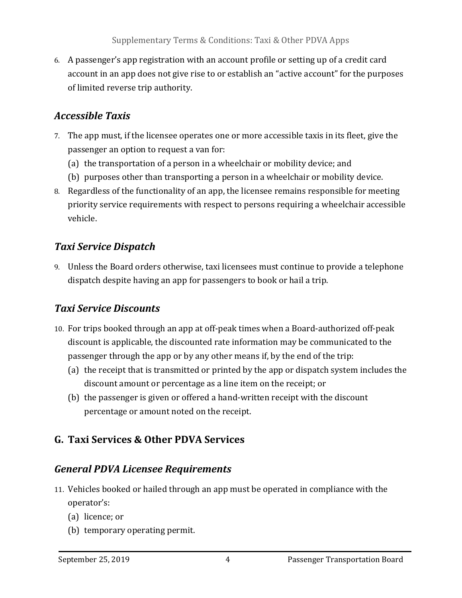6. A passenger's app registration with an account profile or setting up of a credit card account in an app does not give rise to or establish an "active account" for the purposes of limited reverse trip authority.

### *Accessible Taxis*

- 7. The app must, if the licensee operates one or more accessible taxis in its fleet, give the passenger an option to request a van for:
	- (a) the transportation of a person in a wheelchair or mobility device; and
	- (b) purposes other than transporting a person in a wheelchair or mobility device.
- 8. Regardless of the functionality of an app, the licensee remains responsible for meeting priority service requirements with respect to persons requiring a wheelchair accessible vehicle.

### *Taxi Service Dispatch*

9. Unless the Board orders otherwise, taxi licensees must continue to provide a telephone dispatch despite having an app for passengers to book or hail a trip.

### *Taxi Service Discounts*

- 10. For trips booked through an app at off-peak times when a Board-authorized off-peak discount is applicable, the discounted rate information may be communicated to the passenger through the app or by any other means if, by the end of the trip:
	- (a) the receipt that is transmitted or printed by the app or dispatch system includes the discount amount or percentage as a line item on the receipt; or
	- (b) the passenger is given or offered a hand-written receipt with the discount percentage or amount noted on the receipt.

## **G. Taxi Services & Other PDVA Services**

### *General PDVA Licensee Requirements*

- 11. Vehicles booked or hailed through an app must be operated in compliance with the operator's:
	- (a) licence; or
	- (b) temporary operating permit.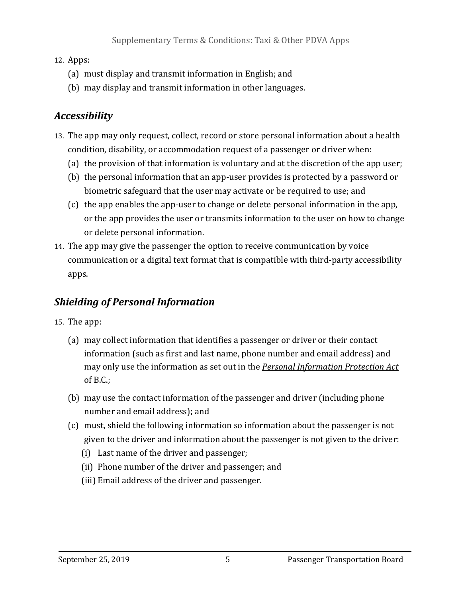#### 12. Apps:

- (a) must display and transmit information in English; and
- (b) may display and transmit information in other languages.

## *Accessibility*

- 13. The app may only request, collect, record or store personal information about a health condition, disability, or accommodation request of a passenger or driver when:
	- (a) the provision of that information is voluntary and at the discretion of the app user;
	- (b) the personal information that an app-user provides is protected by a password or biometric safeguard that the user may activate or be required to use; and
	- (c) the app enables the app-user to change or delete personal information in the app, or the app provides the user or transmits information to the user on how to change or delete personal information.
- 14. The app may give the passenger the option to receive communication by voice communication or a digital text format that is compatible with third-party accessibility apps.

## *Shielding of Personal Information*

- 15. The app:
	- (a) may collect information that identifies a passenger or driver or their contact information (such as first and last name, phone number and email address) and may only use the information as set out in the *Personal Information Protection Act* of B.C.;
	- (b) may use the contact information of the passenger and driver (including phone number and email address); and
	- (c) must, shield the following information so information about the passenger is not given to the driver and information about the passenger is not given to the driver:
		- (i) Last name of the driver and passenger;
		- (ii) Phone number of the driver and passenger; and
		- (iii) Email address of the driver and passenger.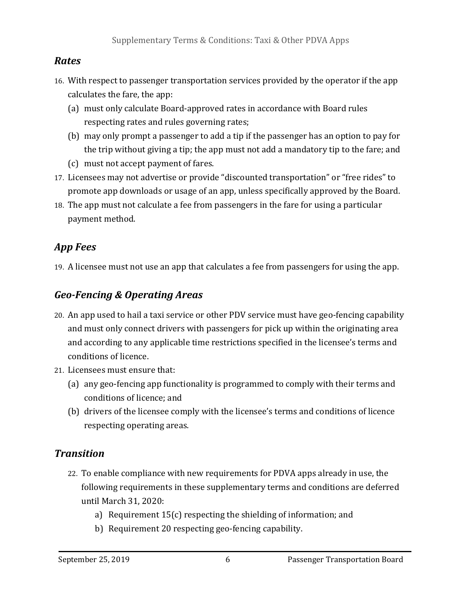#### *Rates*

- 16. With respect to passenger transportation services provided by the operator if the app calculates the fare, the app:
	- (a) must only calculate Board-approved rates in accordance with Board rules respecting rates and rules governing rates;
	- (b) may only prompt a passenger to add a tip if the passenger has an option to pay for the trip without giving a tip; the app must not add a mandatory tip to the fare; and
	- (c) must not accept payment of fares.
- 17. Licensees may not advertise or provide "discounted transportation" or "free rides" to promote app downloads or usage of an app, unless specifically approved by the Board.
- 18. The app must not calculate a fee from passengers in the fare for using a particular payment method.

### *App Fees*

19. A licensee must not use an app that calculates a fee from passengers for using the app.

#### *Geo-Fencing & Operating Areas*

- 20. An app used to hail a taxi service or other PDV service must have geo-fencing capability and must only connect drivers with passengers for pick up within the originating area and according to any applicable time restrictions specified in the licensee's terms and conditions of licence.
- 21. Licensees must ensure that:
	- (a) any geo-fencing app functionality is programmed to comply with their terms and conditions of licence; and
	- (b) drivers of the licensee comply with the licensee's terms and conditions of licence respecting operating areas.

### *Transition*

- 22. To enable compliance with new requirements for PDVA apps already in use, the following requirements in these supplementary terms and conditions are deferred until March 31, 2020:
	- a) Requirement 15(c) respecting the shielding of information; and
	- b) Requirement 20 respecting geo-fencing capability.